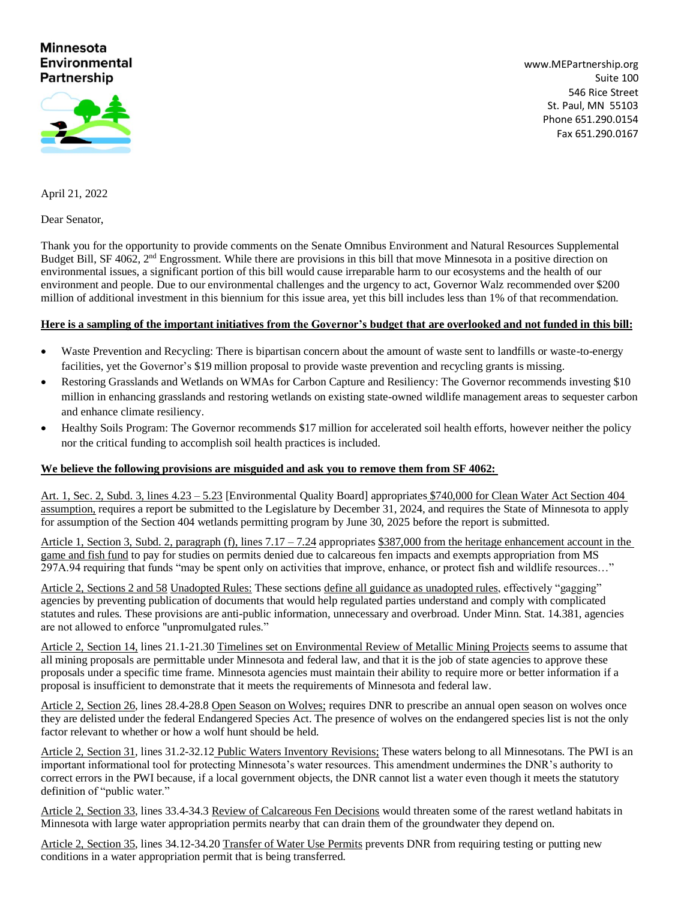## **Minnesota Environmental Partnership**



[www.MEPartnership.org](http://www.mepartnership.org/) Suite 100 546 Rice Street St. Paul, MN 55103 Phone 651.290.0154 Fax 651.290.0167

April 21, 2022

Dear Senator,

Thank you for the opportunity to provide comments on the Senate Omnibus Environment and Natural Resources Supplemental Budget Bill, SF 4062, 2<sup>nd</sup> Engrossment. While there are provisions in this bill that move Minnesota in a positive direction on environmental issues, a significant portion of this bill would cause irreparable harm to our ecosystems and the health of our environment and people. Due to our environmental challenges and the urgency to act, Governor Walz recommended over \$200 million of additional investment in this biennium for this issue area, yet this bill includes less than 1% of that recommendation.

## **Here is a sampling of the important initiatives from the Governor's budget that are overlooked and not funded in this bill:**

- Waste Prevention and Recycling: There is bipartisan concern about the amount of waste sent to landfills or waste-to-energy facilities, yet the Governor's \$19 million proposal to provide waste prevention and recycling grants is missing.
- Restoring Grasslands and Wetlands on WMAs for Carbon Capture and Resiliency: The Governor recommends investing \$10 million in enhancing grasslands and restoring wetlands on existing state-owned wildlife management areas to sequester carbon and enhance climate resiliency.
- Healthy Soils Program: The Governor recommends \$17 million for accelerated soil health efforts, however neither the policy nor the critical funding to accomplish soil health practices is included.

## **We believe the following provisions are misguided and ask you to remove them from SF 4062:**

Art. 1, Sec. 2, Subd. 3, lines 4.23 – 5.23 [Environmental Quality Board] appropriates \$740,000 for Clean Water Act Section 404 assumption, requires a report be submitted to the Legislature by December 31, 2024, and requires the State of Minnesota to apply for assumption of the Section 404 wetlands permitting program by June 30, 2025 before the report is submitted.

Article 1, Section 3, Subd. 2, paragraph (f), lines  $7.17 - 7.24$  appropriates \$387,000 from the heritage enhancement account in the game and fish fund to pay for studies on permits denied due to calcareous fen impacts and exempts appropriation from MS 297A.94 requiring that funds "may be spent only on activities that improve, enhance, or protect fish and wildlife resources…"

Article 2, Sections 2 and 58 Unadopted Rules: These sections define all guidance as unadopted rules, effectively "gagging" agencies by preventing publication of documents that would help regulated parties understand and comply with complicated statutes and rules. These provisions are anti-public information, unnecessary and overbroad. Under Minn. Stat. 14.381, agencies are not allowed to enforce "unpromulgated rules."

Article 2, Section 14, lines 21.1-21.30 Timelines set on Environmental Review of Metallic Mining Projects seems to assume that all mining proposals are permittable under Minnesota and federal law, and that it is the job of state agencies to approve these proposals under a specific time frame. Minnesota agencies must maintain their ability to require more or better information if a proposal is insufficient to demonstrate that it meets the requirements of Minnesota and federal law.

Article 2, Section 26, lines 28.4-28.8 Open Season on Wolves; requires DNR to prescribe an annual open season on wolves once they are delisted under the federal Endangered Species Act. The presence of wolves on the endangered species list is not the only factor relevant to whether or how a wolf hunt should be held.

Article 2, Section 31, lines 31.2-32.12 Public Waters Inventory Revisions; These waters belong to all Minnesotans. The PWI is an important informational tool for protecting Minnesota's water resources. This amendment undermines the DNR's authority to correct errors in the PWI because, if a local government objects, the DNR cannot list a water even though it meets the statutory definition of "public water."

Article 2, Section 33, lines 33.4-34.3 Review of Calcareous Fen Decisions would threaten some of the rarest wetland habitats in Minnesota with large water appropriation permits nearby that can drain them of the groundwater they depend on.

Article 2, Section 35, lines 34.12-34.20 Transfer of Water Use Permits prevents DNR from requiring testing or putting new conditions in a water appropriation permit that is being transferred.